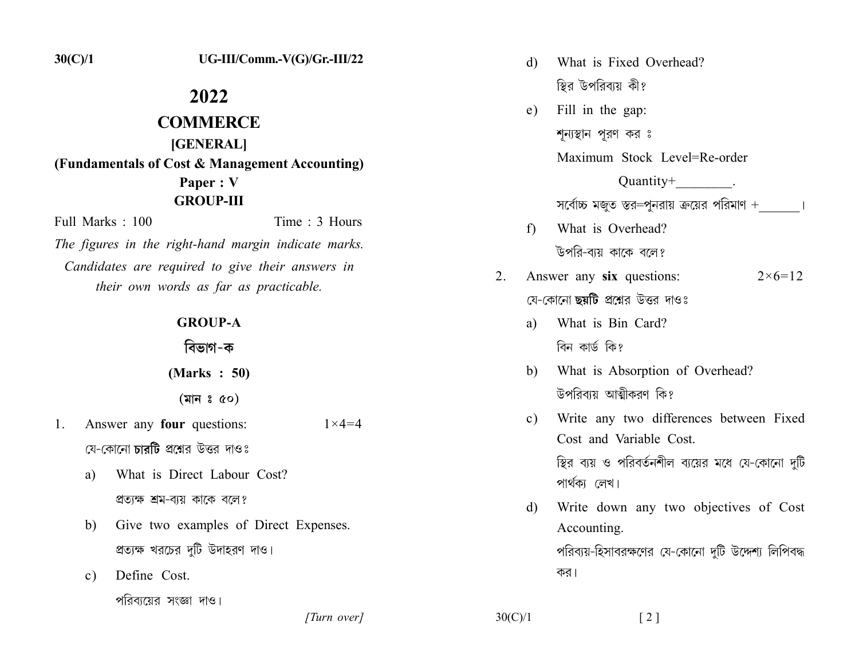$30(C)/1$ 

## 2022 **COMMERCE** [GENERAL] (Fundamentals of Cost & Management Accounting) Paper: V **GROUP-III**

Full Marks: 100 Time: 3 Hours The figures in the right-hand margin indicate marks. Candidates are required to give their answers in their own words as far as practicable.

## **GROUP-A**

বিভাগ-ক

(Marks: 50)

 $(\overline{a}|\overline{a}| \circ \alpha)$ 

- Answer any four questions:  $1 \times 4 = 4$  $1$ যে-কোনো চারটি প্রশ্নের উত্তর দাওঃ
	- What is Direct Labour Cost? a) প্রত্যক্ষ শ্রম-ব্যয় কাকে বলে?
	- Give two examples of Direct Expenses. b) প্রত্যক্ষ খরচের দুটি উদাহরণ দাও।
	- Define Cost.  $\mathbf{c}$ )

পরিব্যয়ের সংজ্ঞা দাও।

[Turn over]

 $30(C)/1$ 

 $f$ 

a)

 $2<sub>1</sub>$ 

 $\mathbf{d}$ What is Fixed Overhead? স্থির উপরিবায় কী? Fill in the gap:  $e)$ শূন্যস্থান পূরণ কর ঃ Maximum Stock Level=Re-order  $Quantity+$  . সর্বোচ্চ মজুত স্তর=পুনরায় ক্রয়ের পরিমাণ + বার্তা What is Overhead? উপরি-বায় কাকে বলে? Answer any six questions:  $2 \times 6 = 12$ যে-কোনো **ছয়টি** প্রশ্নের উত্তর দাওঃ What is Bin Card? বিন কাৰ্ড কি? What is Absorption of Overhead? b) উপবিব্যয় আত্মীকবণ কি? Write any two differences between Fixed  $\mathbf{c}$ ) Cost and Variable Cost. স্থির ব্যয় ও পরিবর্তনশীল ব্যয়ের মধে যে-কোনো দটি পাৰ্থকা লেখ। Write down any two objectives of Cost d) Accounting. পরিব্যয়-হিসাবরক্ষণের যে-কোনো দুটি উদ্দেশ্য লিপিবদ্ধ কর।

 $\lceil 2 \rceil$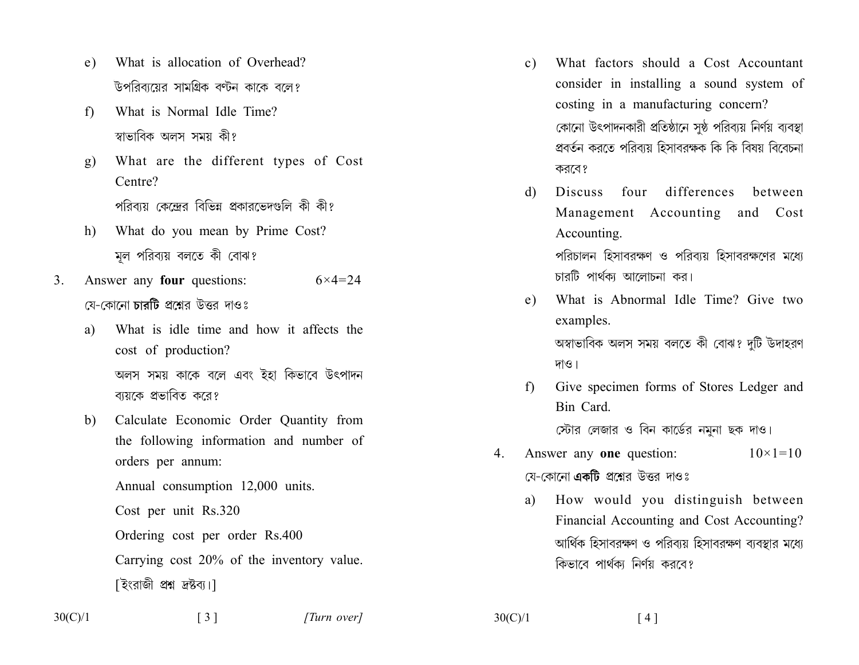- What is allocation of Overhead?  $e)$ উপরিব্যয়ের সামগ্রিক বণ্টন কাকে বলে?
- What is Normal Idle Time?  $f$ স্বাভাবিক অলস সময় কী?
- What are the different types of Cost  $g$ ) Centre? পরিবায় কেন্দের বিভিন্ন প্রকারভেদণ্ডলি কী কী?
- What do you mean by Prime Cost? h) মূল পরিব্যয় বলতে কী বোঝ?
- Answer any four questions:  $3_{-}$  $6 \times 4 = 24$ যে-কোনো চারটি প্রশ্নের উত্তর দাওঃ
	- What is idle time and how it affects the a) cost of production? অলস সময় কাকে বলে এবং ইহা কিভাবে উৎপাদন বায়কে প্রভাবিত করে?
	- Calculate Economic Order Ouantity from  $h$ ) the following information and number of orders per annum:

Annual consumption 12,000 units.

Cost per unit Rs.320

Ordering cost per order Rs.400

Carrying cost 20% of the inventory value. হিংরাজী প্রশ্ন দ্রন্তব্য।1

- What factors should a Cost Accountant  $c)$ consider in installing a sound system of costing in a manufacturing concern? কোনো উৎপাদনকারী প্রতিষ্ঠানে সুষ্ঠ পরিব্যয় নির্ণয় ব্যবস্থা প্রবর্তন করতে পরিব্যয় হিসাবরক্ষক কি কি বিষয় বিবেচনা করবে?
- **Discuss** four differences between d) Management Accounting and Cost Accounting. পরিচালন হিসাবরক্ষণ ও পরিবায় হিসাবরক্ষণের মধ্যে চারটি পার্থকা আলোচনা কর।
- What is Abnormal Idle Time? Give two  $e)$ examples.

অস্বাভাবিক অলস সময় বলতে কী বোঝ? দুটি উদাহরণ দাও।

Give specimen forms of Stores Ledger and f) Bin Card

স্টোর লেজার ও বিন কার্ডের নমুনা ছক দাও।

- Answer any one question:  $\overline{4}$  $10 \times 1 = 10$ যে-কোনো **একটি** প্রশ্নের উত্তর দাওঃ
	- How would you distinguish between a) Financial Accounting and Cost Accounting? আর্থিক হিসাবরক্ষণ ও পরিব্যয় হিসাবরক্ষণ ব্যবস্থার মধ্যে কিভাবে পার্থকা নির্ণয় করবে?

[Turn over]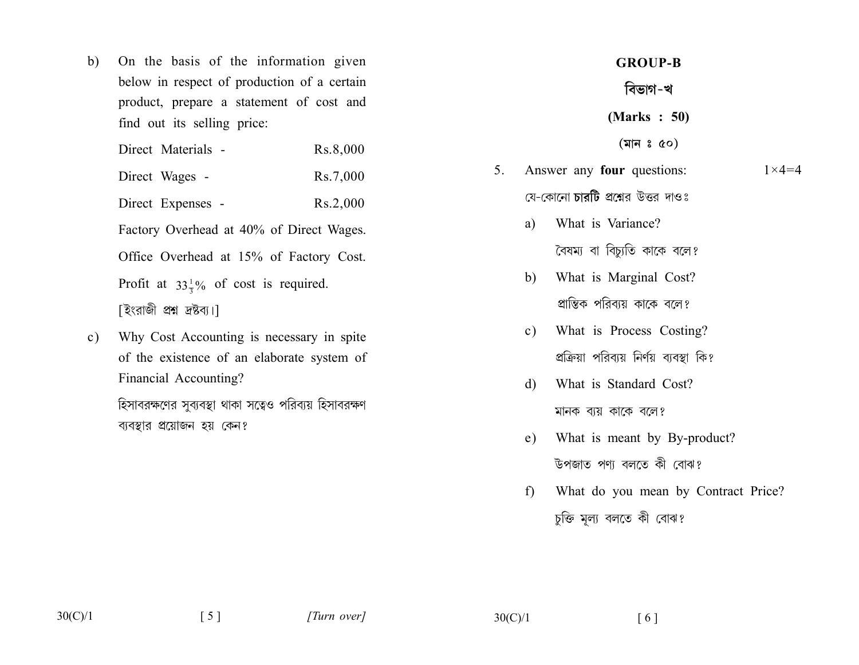- $b)$ On the basis of the information given below in respect of production of a certain product, prepare a statement of cost and find out its selling price:
	- Direct Materials -Rs.8,000 Direct Wages -Rs.7,000 Direct Expenses - $Rs.2,000$ Factory Overhead at 40% of Direct Wages. Office Overhead at 15% of Factory Cost. Profit at  $33\frac{1}{3}\%$  of cost is required. [ইংরাজী প্রশ্ন দ্রন্তব্য।]
- Why Cost Accounting is necessary in spite  $c)$ of the existence of an elaborate system of Financial Accounting?

হিসাবরক্ষণের সুব্যবস্থা থাকা সত্বেও পরিব্যয় হিসাবরক্ষণ ব্যবস্থার প্রয়োজন হয় কেন?

- **GROUP-B** বিভাগ-খ  $(Marks : 50)$ (মান $\circ$  ৫০)
- Answer any four questions: 5.  $1 \times 4 = 4$ যে-কোনো চারটি প্রশ্নের উত্তর দাওঃ
	- What is Variance? a)

বৈষম্য বা বিচ্যুতি কাকে বলে?

- What is Marginal Cost? b) প্রান্তিক পরিব্যয় কাকে বলে?
- What is Process Costing?  $c)$ প্রক্রিয়া পরিব্যয় নির্ণয় ব্যবস্থা কি?
- What is Standard Cost? d) মানক ব্যয় কাকে বলে?
- What is meant by By-product?  $e)$ উপজাত পণা বলতে কী বোঝ?
- What do you mean by Contract Price?  $f$ চুক্তি মূল্য বলতে কী বোঝ?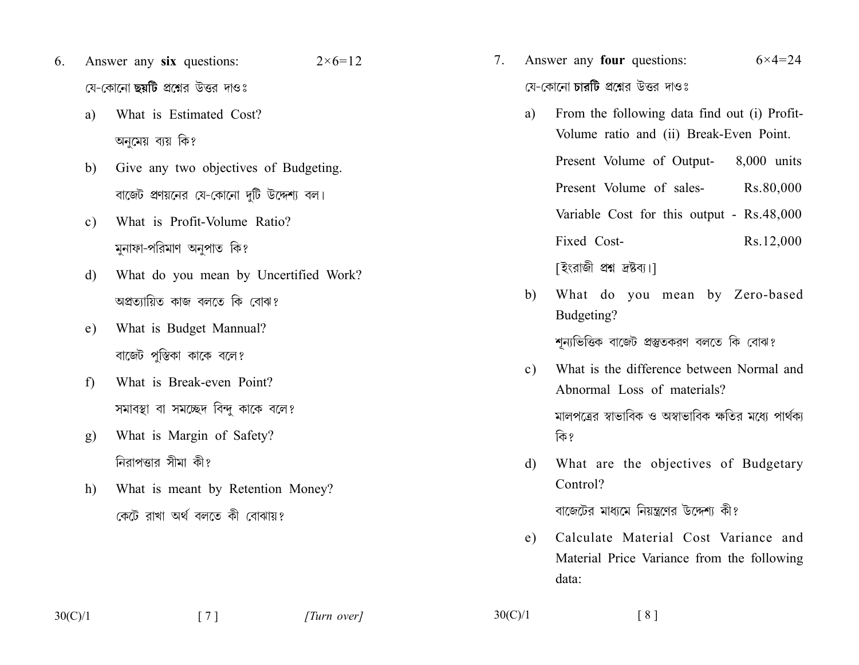- Answer any six questions: 6.  $2 \times 6 = 12$ যে-কোনো **ছয়টি** প্রশ্নের উত্তর দাওঃ
	- What is Estimated Cost? a) অনমেয় ব্যয় কি?
	- b) Give any two objectives of Budgeting. বাজেট প্রণয়নের যে-কোনো দুটি উদ্দেশ্য বল।
	- What is Profit-Volume Ratio?  $c)$ মুনাফা-পরিমাণ অনুপাত কি?
	- What do you mean by Uncertified Work? d) অপ্ৰত্যায়িত কাজ বলতে কি বোঝ?
	- What is Budget Mannual?  $e)$ বার্জেট পস্তিকা কাকে বলে?
	- What is Break-even Point?  $f$ সমাবস্থা বা সমচ্ছেদ বিন্দ কাকে বলে?
	- What is Margin of Safety?  $\mathbf{g}$ ) নিরাপত্তার সীমা কী?
	- What is meant by Retention Money? h) কেটে রাখা অর্থ বলতে কী বোঝায়?
- Answer any **four** questions:  $6 \times 4 = 24$  $7<sup>7</sup>$ যে-কোনো চারটি প্রশ্নের উত্তর দাওঃ
	- From the following data find out (i) Profita) Volume ratio and (ii) Break-Even Point. Present Volume of Output- $8,000$  units Present Volume of sales-Rs.80,000 Variable Cost for this output - Rs.48,000 Fixed Cost-Rs.12,000 হিংরাজী প্রশ্ন দ্রন্তব্য।1
	- What do you mean by Zero-based b) Budgeting?

শন্যভিত্তিক বাজেট প্রস্তুতকরণ বলতে কি বোঝ?

- What is the difference between Normal and  $\mathbf{c}$ ) Abnormal Loss of materials? মালপত্রের স্বাভাবিক ও অস্বাভাবিক ক্ষতির মধ্যে পার্থকা কি ?
- What are the objectives of Budgetary d) Control?

বাজেটের মাধ্যমে নিয়ন্ত্রণের উদ্দেশ্য কী?

Calculate Material Cost Variance and  $e)$ Material Price Variance from the following data: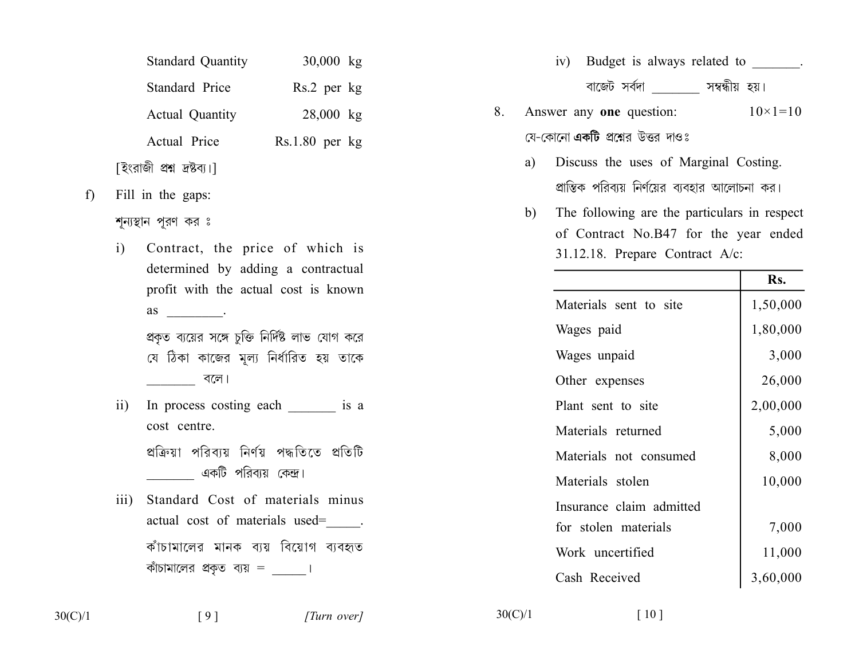| <b>Standard Quantity</b>   | $30,000 \text{ kg}$ |
|----------------------------|---------------------|
| Standard Price             | Rs.2 per kg         |
| <b>Actual Quantity</b>     | $28,000$ kg         |
| Actual Price               | $Rs.1.80$ per $kg$  |
| [ইংরাজী প্রশ্ন দ্রন্তব্য।] |                     |

Fill in the gaps:  $f$ 

শন্যস্থান প্রণ কর ঃ

 $i)$ Contract, the price of which is determined by adding a contractual profit with the actual cost is known  $\qquad \qquad \text{as} \qquad$ .

> প্রকৃত ব্যয়ের সঙ্গে চুক্তি নির্দিষ্ট লাভ যোগ করে যে ঠিকা কাজের মূল্য নির্ধারিত হয় তাকে বলে।

 $\overline{ii}$ In process costing each \_\_\_\_\_\_\_\_ is a cost centre.

> প্রক্রিয়া পরিব্যয় নির্ণয় পদ্ধতিতে প্রতিটি একটি পরিব্যয় কেন্দ্র।

iii) Standard Cost of materials minus actual cost of materials used= কাঁচামালের মানক ব্যয় বিয়োগ ব্যবহৃত কাঁচামালের প্রকৃত ব্যয় =  $\frac{1}{2}$ ।

- iv) Budget is always related to বাজেট সর্বদা সম্বন্ধীয় হয়।
- Answer any **one** question: 8.  $10 \times 1 = 10$ যে-কোনো **একটি** প্রশ্নের উত্তর দাওঃ
	- Discuss the uses of Marginal Costing. a) প্রান্তিক পরিবায় নির্ণয়ের ব্যবহার আলোচনা কর।
	- The following are the particulars in respect b) of Contract No.B47 for the year ended 31.12.18. Prepare Contract  $A/c$ :

|                          | Rs.      |
|--------------------------|----------|
| Materials sent to site   | 1,50,000 |
| Wages paid               | 1,80,000 |
| Wages unpaid             | 3,000    |
| Other expenses           | 26,000   |
| Plant sent to site       | 2,00,000 |
| Materials returned       | 5,000    |
| Materials not consumed   | 8,000    |
| Materials stolen         | 10,000   |
| Insurance claim admitted |          |
| for stolen materials     | 7,000    |
| Work uncertified         | 11,000   |
| Cash Received            | 3,60,000 |